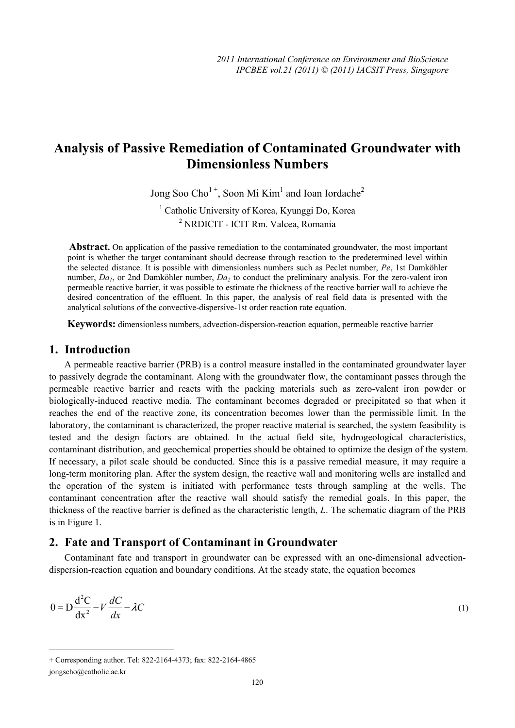# **Analysis of Passive Remediation of Contaminated Groundwater with Dimensionless Numbers**

Jong Soo Cho<sup>1+</sup>, Soon Mi Kim<sup>1</sup> and Ioan Iordache<sup>2</sup>

1 Catholic University of Korea, Kyunggi Do, Korea 2 NRDICIT - ICIT Rm. Valcea, Romania

Abstract. On application of the passive remediation to the contaminated groundwater, the most important point is whether the target contaminant should decrease through reaction to the predetermined level within the selected distance. It is possible with dimensionless numbers such as Peclet number, *Pe*, 1st Damköhler number, *Da<sub>1</sub>*, or 2nd Damköhler number, *Da<sub>2</sub>* to conduct the preliminary analysis. For the zero-valent iron permeable reactive barrier, it was possible to estimate the thickness of the reactive barrier wall to achieve the desired concentration of the effluent. In this paper, the analysis of real field data is presented with the analytical solutions of the convective-dispersive-1st order reaction rate equation.

**Keywords:** dimensionless numbers, advection-dispersion-reaction equation, permeable reactive barrier

## **1. Introduction**

A permeable reactive barrier (PRB) is a control measure installed in the contaminated groundwater layer to passively degrade the contaminant. Along with the groundwater flow, the contaminant passes through the permeable reactive barrier and reacts with the packing materials such as zero-valent iron powder or biologically-induced reactive media. The contaminant becomes degraded or precipitated so that when it reaches the end of the reactive zone, its concentration becomes lower than the permissible limit. In the laboratory, the contaminant is characterized, the proper reactive material is searched, the system feasibility is tested and the design factors are obtained. In the actual field site, hydrogeological characteristics, contaminant distribution, and geochemical properties should be obtained to optimize the design of the system. If necessary, a pilot scale should be conducted. Since this is a passive remedial measure, it may require a long-term monitoring plan. After the system design, the reactive wall and monitoring wells are installed and the operation of the system is initiated with performance tests through sampling at the wells. The contaminant concentration after the reactive wall should satisfy the remedial goals. In this paper, the thickness of the reactive barrier is defined as the characteristic length, *L*. The schematic diagram of the PRB is in Figure 1.

## **2. Fate and Transport of Contaminant in Groundwater**

Contaminant fate and transport in groundwater can be expressed with an one-dimensional advectiondispersion-reaction equation and boundary conditions. At the steady state, the equation becomes

$$
0 = D\frac{d^2C}{dx^2} - V\frac{dC}{dx} - \lambda C\tag{1}
$$

 $\overline{a}$ 

+ Corresponding author. Tel: 822-2164-4373; fax: 822-2164-4865 jongscho@catholic.ac.kr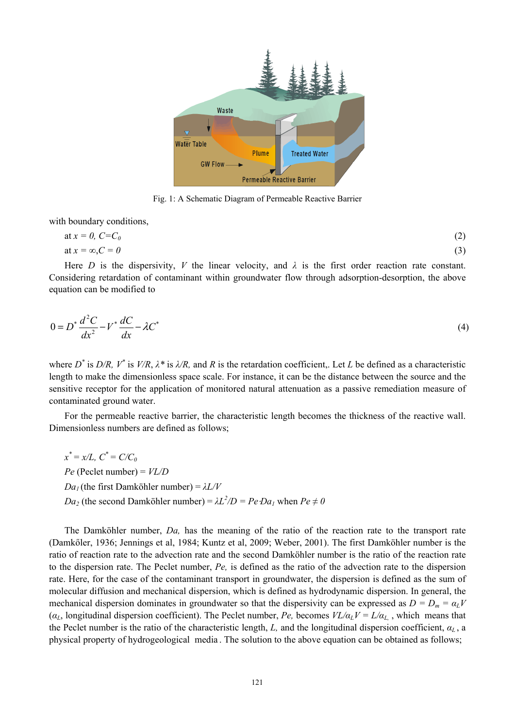

Fig. 1: A Schematic Diagram of Permeable Reactive Barrier

with boundary conditions,

$$
at x = 0, C=C_0
$$
  
at x =  $\infty$ , C = 0 (3)

Here *D* is the dispersivity, *V* the linear velocity, and  $\lambda$  is the first order reaction rate constant. Considering retardation of contaminant within groundwater flow through adsorption-desorption, the above equation can be modified to

$$
0 = D^* \frac{d^2 C}{dx^2} - V^* \frac{dC}{dx} - \lambda C^*
$$
\n<sup>(4)</sup>

where  $D^*$  is  $D/R$ ,  $V^*$  is  $V/R$ ,  $\lambda^*$  is  $\lambda/R$ , and R is the retardation coefficient,. Let L be defined as a characteristic length to make the dimensionless space scale. For instance, it can be the distance between the source and the sensitive receptor for the application of monitored natural attenuation as a passive remediation measure of contaminated ground water.

For the permeable reactive barrier, the characteristic length becomes the thickness of the reactive wall. Dimensionless numbers are defined as follows;

 $x^* = x/L$ ,  $C^* = C/C_0$ *Pe* (Peclet number) = *VL/D Da<sub>1</sub>* (the first Damköhler number) =  $λL/V$ *Da<sub>2</sub>* (the second Damköhler number) =  $\lambda L^2/D = Pe \cdot Da_1$  when  $Pe \neq 0$ 

The Damköhler number, *Da,* has the meaning of the ratio of the reaction rate to the transport rate (Damkőler, 1936; Jennings et al, 1984; Kuntz et al, 2009; Weber, 2001). The first Damköhler number is the ratio of reaction rate to the advection rate and the second Damköhler number is the ratio of the reaction rate to the dispersion rate. The Peclet number, *Pe,* is defined as the ratio of the advection rate to the dispersion rate. Here, for the case of the contaminant transport in groundwater, the dispersion is defined as the sum of molecular diffusion and mechanical dispersion, which is defined as hydrodynamic dispersion. In general, the mechanical dispersion dominates in groundwater so that the dispersivity can be expressed as  $D = D_m = \alpha_L V$ ( $\alpha_L$ , longitudinal dispersion coefficient). The Peclet number, *Pe*, becomes  $VL/\alpha_L V = L/\alpha_L$ , which means that the Peclet number is the ratio of the characteristic length, L, and the longitudinal dispersion coefficient,  $\alpha_L$ , a physical property of hydrogeological media . The solution to the above equation can be obtained as follows;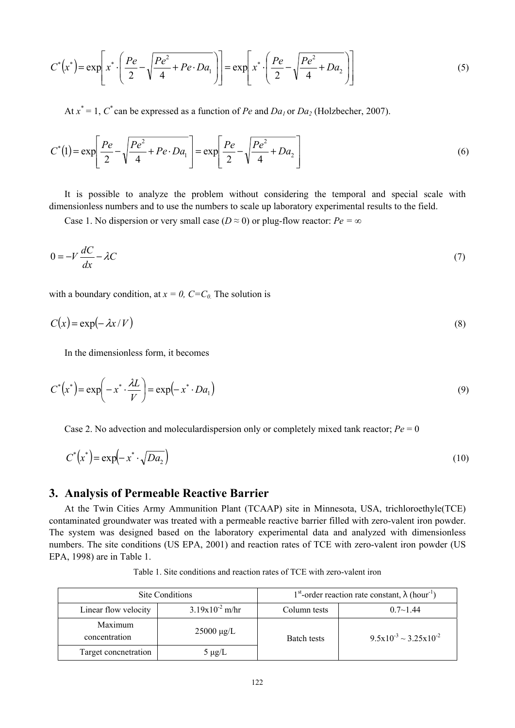$$
C^*(x^*) = \exp\left[x^* \cdot \left(\frac{Pe}{2} - \sqrt{\frac{Pe^2}{4} + Pe \cdot Da_1}\right)\right] = \exp\left[x^* \cdot \left(\frac{Pe}{2} - \sqrt{\frac{Pe^2}{4} + Da_2}\right)\right]
$$
(5)

At  $x^* = 1$ ,  $C^*$  can be expressed as a function of *Pe* and  $Da_1$  or  $Da_2$  (Holzbecher, 2007).

$$
C^*(1) = \exp\left[\frac{Pe}{2} - \sqrt{\frac{Pe^2}{4} + Pe \cdot Da_1}\right] = \exp\left[\frac{Pe}{2} - \sqrt{\frac{Pe^2}{4} + Da_2}\right] \tag{6}
$$

It is possible to analyze the problem without considering the temporal and special scale with dimensionless numbers and to use the numbers to scale up laboratory experimental results to the field.

Case 1. No dispersion or very small case ( $D \approx 0$ ) or plug-flow reactor:  $Pe = \infty$ 

$$
0 = -V \frac{dC}{dx} - \lambda C \tag{7}
$$

with a boundary condition, at  $x = 0$ ,  $C = C_0$ . The solution is

$$
C(x) = \exp(-\lambda x/V) \tag{8}
$$

In the dimensionless form, it becomes

$$
C^*\left(x^*\right) = \exp\left(-x^*\cdot\frac{\lambda L}{V}\right) = \exp\left(-x^*\cdot Da_1\right) \tag{9}
$$

Case 2. No advection and moleculardispersion only or completely mixed tank reactor; *Pe* = 0

$$
C^*\left(x^*\right) = \exp\left(-x^*\cdot\sqrt{Da_2}\right) \tag{10}
$$

### **3. Analysis of Permeable Reactive Barrier**

At the Twin Cities Army Ammunition Plant (TCAAP) site in Minnesota, USA, trichloroethyle(TCE) contaminated groundwater was treated with a permeable reactive barrier filled with zero-valent iron powder. The system was designed based on the laboratory experimental data and analyzed with dimensionless numbers. The site conditions (US EPA, 2001) and reaction rates of TCE with zero-valent iron powder (US EPA, 1998) are in Table 1.

| Site Conditions          |                     | 1 <sup>st</sup> -order reaction rate constant, $\lambda$ (hour <sup>-1</sup> ) |                                 |
|--------------------------|---------------------|--------------------------------------------------------------------------------|---------------------------------|
| Linear flow velocity     | $3.19x10^{-2}$ m/hr | Column tests                                                                   | $0.7 \sim 1.44$                 |
| Maximum<br>concentration | $25000 \mu g/L$     | Batch tests                                                                    | $9.5x10^{-3} \sim 3.25x10^{-2}$ |
| Target concnetration     | $5 \mu g/L$         |                                                                                |                                 |

Table 1. Site conditions and reaction rates of TCE with zero-valent iron